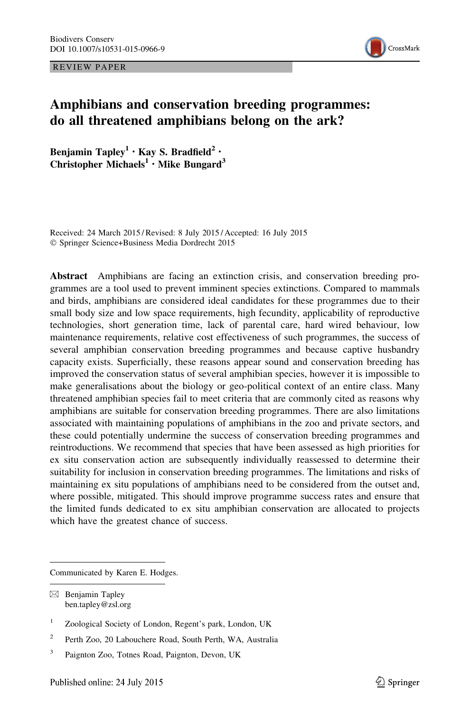REVIEW PAPER



# Amphibians and conservation breeding programmes: do all threatened amphibians belong on the ark?

Benjamin Tapley<sup>1</sup> • Kay S. Bradfield<sup>2</sup> • Christopher Michaels<sup>1</sup> • Mike Bungard<sup>3</sup>

Received: 24 March 2015 / Revised: 8 July 2015 / Accepted: 16 July 2015 - Springer Science+Business Media Dordrecht 2015

Abstract Amphibians are facing an extinction crisis, and conservation breeding programmes are a tool used to prevent imminent species extinctions. Compared to mammals and birds, amphibians are considered ideal candidates for these programmes due to their small body size and low space requirements, high fecundity, applicability of reproductive technologies, short generation time, lack of parental care, hard wired behaviour, low maintenance requirements, relative cost effectiveness of such programmes, the success of several amphibian conservation breeding programmes and because captive husbandry capacity exists. Superficially, these reasons appear sound and conservation breeding has improved the conservation status of several amphibian species, however it is impossible to make generalisations about the biology or geo-political context of an entire class. Many threatened amphibian species fail to meet criteria that are commonly cited as reasons why amphibians are suitable for conservation breeding programmes. There are also limitations associated with maintaining populations of amphibians in the zoo and private sectors, and these could potentially undermine the success of conservation breeding programmes and reintroductions. We recommend that species that have been assessed as high priorities for ex situ conservation action are subsequently individually reassessed to determine their suitability for inclusion in conservation breeding programmes. The limitations and risks of maintaining ex situ populations of amphibians need to be considered from the outset and, where possible, mitigated. This should improve programme success rates and ensure that the limited funds dedicated to ex situ amphibian conservation are allocated to projects which have the greatest chance of success.

Communicated by Karen E. Hodges.

 $\boxtimes$  Benjamin Tapley ben.tapley@zsl.org

<sup>&</sup>lt;sup>1</sup> Zoological Society of London, Regent's park, London, UK

<sup>2</sup> Perth Zoo, 20 Labouchere Road, South Perth, WA, Australia

<sup>3</sup> Paignton Zoo, Totnes Road, Paignton, Devon, UK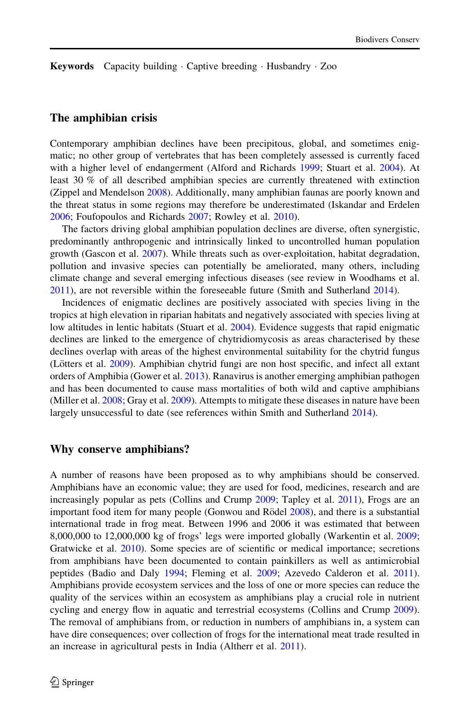Keywords Capacity building Captive breeding · Husbandry · Zoo

# The amphibian crisis

Contemporary amphibian declines have been precipitous, global, and sometimes enigmatic; no other group of vertebrates that has been completely assessed is currently faced with a higher level of endangerment (Alford and Richards [1999](#page-16-0); Stuart et al. [2004](#page-20-0)). At least 30 % of all described amphibian species are currently threatened with extinction (Zippel and Mendelson [2008](#page-21-0)). Additionally, many amphibian faunas are poorly known and the threat status in some regions may therefore be underestimated (Iskandar and Erdelen [2006;](#page-19-0) Foufopoulos and Richards [2007](#page-18-0); Rowley et al. [2010\)](#page-20-0).

The factors driving global amphibian population declines are diverse, often synergistic, predominantly anthropogenic and intrinsically linked to uncontrolled human population growth (Gascon et al. [2007\)](#page-18-0). While threats such as over-exploitation, habitat degradation, pollution and invasive species can potentially be ameliorated, many others, including climate change and several emerging infectious diseases (see review in Woodhams et al. [2011\)](#page-21-0), are not reversible within the foreseeable future (Smith and Sutherland [2014](#page-20-0)).

Incidences of enigmatic declines are positively associated with species living in the tropics at high elevation in riparian habitats and negatively associated with species living at low altitudes in lentic habitats (Stuart et al. [2004](#page-20-0)). Evidence suggests that rapid enigmatic declines are linked to the emergence of chytridiomycosis as areas characterised by these declines overlap with areas of the highest environmental suitability for the chytrid fungus (Lötters et al. [2009](#page-19-0)). Amphibian chytrid fungi are non host specific, and infect all extant orders of Amphibia (Gower et al. [2013\)](#page-18-0). Ranavirus is another emerging amphibian pathogen and has been documented to cause mass mortalities of both wild and captive amphibians (Miller et al. [2008;](#page-20-0) Gray et al. [2009\)](#page-18-0). Attempts to mitigate these diseases in nature have been largely unsuccessful to date (see references within Smith and Sutherland [2014](#page-20-0)).

#### Why conserve amphibians?

A number of reasons have been proposed as to why amphibians should be conserved. Amphibians have an economic value; they are used for food, medicines, research and are increasingly popular as pets (Collins and Crump [2009;](#page-17-0) Tapley et al. [2011](#page-20-0)), Frogs are an important food item for many people (Gonwou and Rödel [2008](#page-18-0)), and there is a substantial international trade in frog meat. Between 1996 and 2006 it was estimated that between 8,000,000 to 12,000,000 kg of frogs' legs were imported globally (Warkentin et al. [2009;](#page-21-0) Gratwicke et al. [2010\)](#page-18-0). Some species are of scientific or medical importance; secretions from amphibians have been documented to contain painkillers as well as antimicrobial peptides (Badio and Daly [1994;](#page-17-0) Fleming et al. [2009](#page-18-0); Azevedo Calderon et al. [2011](#page-17-0)). Amphibians provide ecosystem services and the loss of one or more species can reduce the quality of the services within an ecosystem as amphibians play a crucial role in nutrient cycling and energy flow in aquatic and terrestrial ecosystems (Collins and Crump [2009](#page-17-0)). The removal of amphibians from, or reduction in numbers of amphibians in, a system can have dire consequences; over collection of frogs for the international meat trade resulted in an increase in agricultural pests in India (Altherr et al. [2011](#page-16-0)).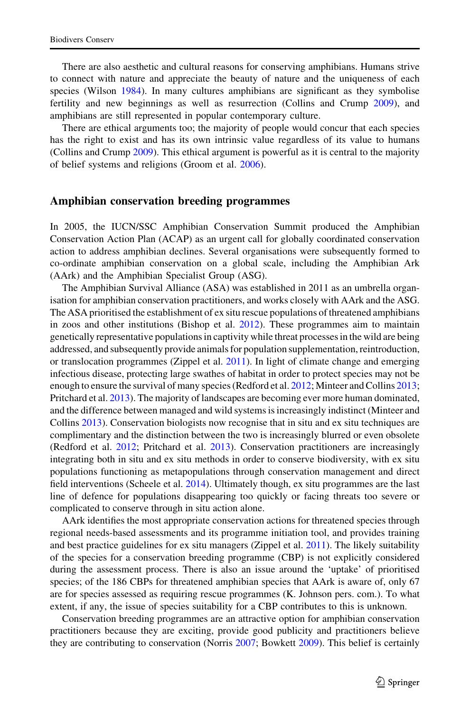There are also aesthetic and cultural reasons for conserving amphibians. Humans strive to connect with nature and appreciate the beauty of nature and the uniqueness of each species (Wilson [1984](#page-21-0)). In many cultures amphibians are significant as they symbolise fertility and new beginnings as well as resurrection (Collins and Crump [2009](#page-17-0)), and amphibians are still represented in popular contemporary culture.

There are ethical arguments too; the majority of people would concur that each species has the right to exist and has its own intrinsic value regardless of its value to humans (Collins and Crump [2009](#page-17-0)). This ethical argument is powerful as it is central to the majority of belief systems and religions (Groom et al. [2006](#page-18-0)).

#### Amphibian conservation breeding programmes

In 2005, the IUCN/SSC Amphibian Conservation Summit produced the Amphibian Conservation Action Plan (ACAP) as an urgent call for globally coordinated conservation action to address amphibian declines. Several organisations were subsequently formed to co-ordinate amphibian conservation on a global scale, including the Amphibian Ark (AArk) and the Amphibian Specialist Group (ASG).

The Amphibian Survival Alliance (ASA) was established in 2011 as an umbrella organisation for amphibian conservation practitioners, and works closely with AArk and the ASG. The ASA prioritised the establishment of ex situ rescue populations of threatened amphibians in zoos and other institutions (Bishop et al. [2012\)](#page-17-0). These programmes aim to maintain genetically representative populations in captivity while threat processes in the wild are being addressed, and subsequently provide animals for population supplementation, reintroduction, or translocation programmes (Zippel et al. [2011](#page-21-0)). In light of climate change and emerging infectious disease, protecting large swathes of habitat in order to protect species may not be enough to ensure the survival of many species (Redford et al. [2012](#page-20-0); Minteer and Collins [2013;](#page-20-0) Pritchard et al. [2013\)](#page-20-0). The majority of landscapes are becoming ever more human dominated, and the difference between managed and wild systems is increasingly indistinct (Minteer and Collins [2013](#page-20-0)). Conservation biologists now recognise that in situ and ex situ techniques are complimentary and the distinction between the two is increasingly blurred or even obsolete (Redford et al. [2012;](#page-20-0) Pritchard et al. [2013\)](#page-20-0). Conservation practitioners are increasingly integrating both in situ and ex situ methods in order to conserve biodiversity, with ex situ populations functioning as metapopulations through conservation management and direct field interventions (Scheele et al. [2014\)](#page-20-0). Ultimately though, ex situ programmes are the last line of defence for populations disappearing too quickly or facing threats too severe or complicated to conserve through in situ action alone.

AArk identifies the most appropriate conservation actions for threatened species through regional needs-based assessments and its programme initiation tool, and provides training and best practice guidelines for ex situ managers (Zippel et al. [2011](#page-21-0)). The likely suitability of the species for a conservation breeding programme (CBP) is not explicitly considered during the assessment process. There is also an issue around the 'uptake' of prioritised species; of the 186 CBPs for threatened amphibian species that AArk is aware of, only 67 are for species assessed as requiring rescue programmes (K. Johnson pers. com.). To what extent, if any, the issue of species suitability for a CBP contributes to this is unknown.

Conservation breeding programmes are an attractive option for amphibian conservation practitioners because they are exciting, provide good publicity and practitioners believe they are contributing to conservation (Norris [2007](#page-20-0); Bowkett [2009](#page-17-0)). This belief is certainly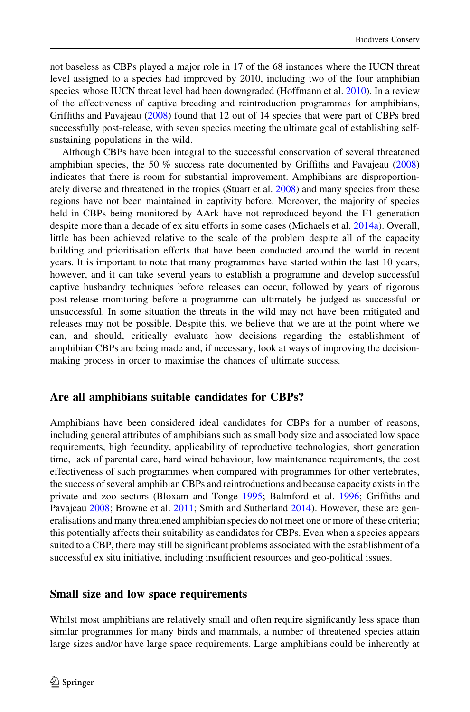not baseless as CBPs played a major role in 17 of the 68 instances where the IUCN threat level assigned to a species had improved by 2010, including two of the four amphibian species whose IUCN threat level had been downgraded (Hoffmann et al. [2010](#page-19-0)). In a review of the effectiveness of captive breeding and reintroduction programmes for amphibians, Griffiths and Pavajeau [\(2008](#page-18-0)) found that 12 out of 14 species that were part of CBPs bred successfully post-release, with seven species meeting the ultimate goal of establishing selfsustaining populations in the wild.

Although CBPs have been integral to the successful conservation of several threatened amphibian species, the 50 % success rate documented by Griffiths and Pavajeau ([2008](#page-18-0)) indicates that there is room for substantial improvement. Amphibians are disproportionately diverse and threatened in the tropics (Stuart et al. [2008\)](#page-20-0) and many species from these regions have not been maintained in captivity before. Moreover, the majority of species held in CBPs being monitored by AArk have not reproduced beyond the F1 generation despite more than a decade of ex situ efforts in some cases (Michaels et al. [2014a\)](#page-19-0). Overall, little has been achieved relative to the scale of the problem despite all of the capacity building and prioritisation efforts that have been conducted around the world in recent years. It is important to note that many programmes have started within the last 10 years, however, and it can take several years to establish a programme and develop successful captive husbandry techniques before releases can occur, followed by years of rigorous post-release monitoring before a programme can ultimately be judged as successful or unsuccessful. In some situation the threats in the wild may not have been mitigated and releases may not be possible. Despite this, we believe that we are at the point where we can, and should, critically evaluate how decisions regarding the establishment of amphibian CBPs are being made and, if necessary, look at ways of improving the decisionmaking process in order to maximise the chances of ultimate success.

# Are all amphibians suitable candidates for CBPs?

Amphibians have been considered ideal candidates for CBPs for a number of reasons, including general attributes of amphibians such as small body size and associated low space requirements, high fecundity, applicability of reproductive technologies, short generation time, lack of parental care, hard wired behaviour, low maintenance requirements, the cost effectiveness of such programmes when compared with programmes for other vertebrates, the success of several amphibian CBPs and reintroductions and because capacity exists in the private and zoo sectors (Bloxam and Tonge [1995;](#page-17-0) Balmford et al. [1996](#page-17-0); Griffiths and Pavajeau [2008;](#page-18-0) Browne et al. [2011](#page-17-0); Smith and Sutherland [2014](#page-20-0)). However, these are generalisations and many threatened amphibian species do not meet one or more of these criteria; this potentially affects their suitability as candidates for CBPs. Even when a species appears suited to a CBP, there may still be significant problems associated with the establishment of a successful ex situ initiative, including insufficient resources and geo-political issues.

# Small size and low space requirements

Whilst most amphibians are relatively small and often require significantly less space than similar programmes for many birds and mammals, a number of threatened species attain large sizes and/or have large space requirements. Large amphibians could be inherently at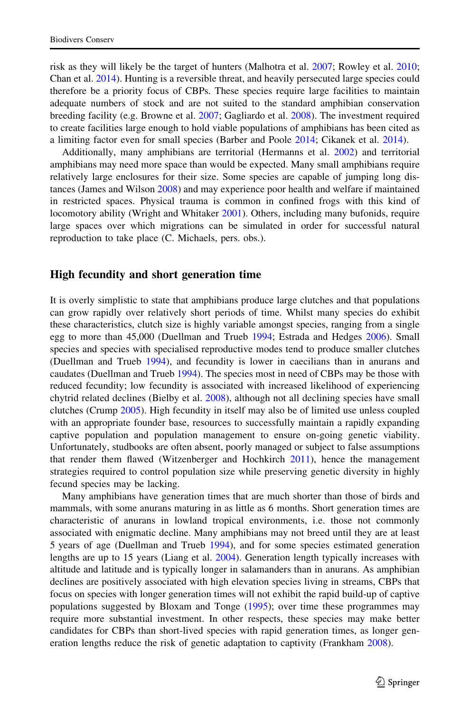risk as they will likely be the target of hunters (Malhotra et al. [2007;](#page-19-0) Rowley et al. [2010;](#page-20-0) Chan et al. [2014\)](#page-17-0). Hunting is a reversible threat, and heavily persecuted large species could therefore be a priority focus of CBPs. These species require large facilities to maintain adequate numbers of stock and are not suited to the standard amphibian conservation breeding facility (e.g. Browne et al. [2007;](#page-17-0) Gagliardo et al. [2008](#page-18-0)). The investment required to create facilities large enough to hold viable populations of amphibians has been cited as a limiting factor even for small species (Barber and Poole [2014;](#page-17-0) Cikanek et al. [2014](#page-17-0)).

Additionally, many amphibians are territorial (Hermanns et al. [2002](#page-19-0)) and territorial amphibians may need more space than would be expected. Many small amphibians require relatively large enclosures for their size. Some species are capable of jumping long distances (James and Wilson [2008](#page-19-0)) and may experience poor health and welfare if maintained in restricted spaces. Physical trauma is common in confined frogs with this kind of locomotory ability (Wright and Whitaker [2001\)](#page-21-0). Others, including many bufonids, require large spaces over which migrations can be simulated in order for successful natural reproduction to take place (C. Michaels, pers. obs.).

# High fecundity and short generation time

It is overly simplistic to state that amphibians produce large clutches and that populations can grow rapidly over relatively short periods of time. Whilst many species do exhibit these characteristics, clutch size is highly variable amongst species, ranging from a single egg to more than 45,000 (Duellman and Trueb [1994;](#page-18-0) Estrada and Hedges [2006](#page-18-0)). Small species and species with specialised reproductive modes tend to produce smaller clutches (Duellman and Trueb [1994](#page-18-0)), and fecundity is lower in caecilians than in anurans and caudates (Duellman and Trueb [1994](#page-18-0)). The species most in need of CBPs may be those with reduced fecundity; low fecundity is associated with increased likelihood of experiencing chytrid related declines (Bielby et al. [2008](#page-17-0)), although not all declining species have small clutches (Crump [2005\)](#page-18-0). High fecundity in itself may also be of limited use unless coupled with an appropriate founder base, resources to successfully maintain a rapidly expanding captive population and population management to ensure on-going genetic viability. Unfortunately, studbooks are often absent, poorly managed or subject to false assumptions that render them flawed (Witzenberger and Hochkirch [2011](#page-21-0)), hence the management strategies required to control population size while preserving genetic diversity in highly fecund species may be lacking.

Many amphibians have generation times that are much shorter than those of birds and mammals, with some anurans maturing in as little as 6 months. Short generation times are characteristic of anurans in lowland tropical environments, i.e. those not commonly associated with enigmatic decline. Many amphibians may not breed until they are at least 5 years of age (Duellman and Trueb [1994\)](#page-18-0), and for some species estimated generation lengths are up to 15 years (Liang et al. [2004\)](#page-19-0). Generation length typically increases with altitude and latitude and is typically longer in salamanders than in anurans. As amphibian declines are positively associated with high elevation species living in streams, CBPs that focus on species with longer generation times will not exhibit the rapid build-up of captive populations suggested by Bloxam and Tonge ([1995\)](#page-17-0); over time these programmes may require more substantial investment. In other respects, these species may make better candidates for CBPs than short-lived species with rapid generation times, as longer generation lengths reduce the risk of genetic adaptation to captivity (Frankham [2008\)](#page-18-0).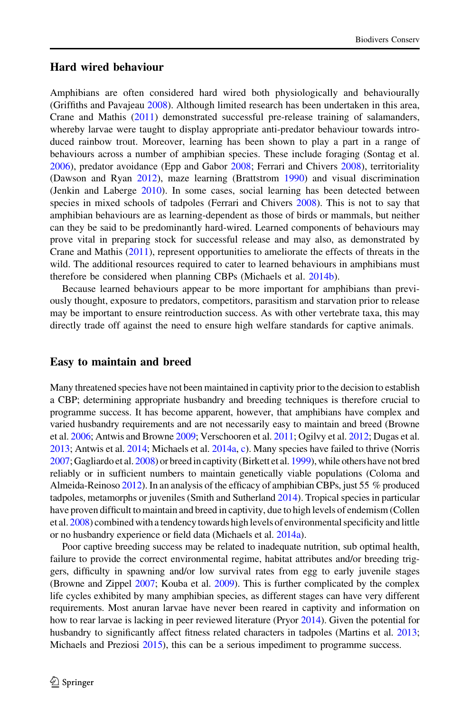# Hard wired behaviour

Amphibians are often considered hard wired both physiologically and behaviourally (Griffiths and Pavajeau [2008\)](#page-18-0). Although limited research has been undertaken in this area, Crane and Mathis ([2011\)](#page-17-0) demonstrated successful pre-release training of salamanders, whereby larvae were taught to display appropriate anti-predator behaviour towards introduced rainbow trout. Moreover, learning has been shown to play a part in a range of behaviours across a number of amphibian species. These include foraging (Sontag et al. [2006\)](#page-20-0), predator avoidance (Epp and Gabor [2008;](#page-18-0) Ferrari and Chivers [2008\)](#page-18-0), territoriality (Dawson and Ryan [2012](#page-18-0)), maze learning (Brattstrom [1990\)](#page-17-0) and visual discrimination (Jenkin and Laberge [2010](#page-19-0)). In some cases, social learning has been detected between species in mixed schools of tadpoles (Ferrari and Chivers [2008](#page-18-0)). This is not to say that amphibian behaviours are as learning-dependent as those of birds or mammals, but neither can they be said to be predominantly hard-wired. Learned components of behaviours may prove vital in preparing stock for successful release and may also, as demonstrated by Crane and Mathis [\(2011](#page-17-0)), represent opportunities to ameliorate the effects of threats in the wild. The additional resources required to cater to learned behaviours in amphibians must therefore be considered when planning CBPs (Michaels et al. [2014b](#page-19-0)).

Because learned behaviours appear to be more important for amphibians than previously thought, exposure to predators, competitors, parasitism and starvation prior to release may be important to ensure reintroduction success. As with other vertebrate taxa, this may directly trade off against the need to ensure high welfare standards for captive animals.

#### Easy to maintain and breed

Many threatened species have not been maintained in captivity prior to the decision to establish a CBP; determining appropriate husbandry and breeding techniques is therefore crucial to programme success. It has become apparent, however, that amphibians have complex and varied husbandry requirements and are not necessarily easy to maintain and breed (Browne et al. [2006;](#page-17-0) Antwis and Browne [2009](#page-17-0); Verschooren et al. [2011;](#page-21-0) Ogilvy et al. [2012;](#page-20-0) Dugas et al. [2013](#page-18-0); Antwis et al. [2014](#page-17-0); Michaels et al. [2014a](#page-19-0), [c\)](#page-19-0). Many species have failed to thrive (Norris [2007](#page-20-0); Gagliardo et al. [2008](#page-18-0)) or breedin captivity (Birkett et al. [1999\)](#page-17-0), while others have not bred reliably or in sufficient numbers to maintain genetically viable populations (Coloma and Almeida-Reinoso [2012\)](#page-17-0). In an analysis of the efficacy of amphibian CBPs, just 55 % produced tadpoles, metamorphs or juveniles (Smith and Sutherland [2014](#page-20-0)). Tropical species in particular have proven difficult to maintain and breed in captivity, due to high levels of endemism (Collen et al. [2008\)](#page-17-0) combined with a tendencytowards high levels of environmental specificity and little or no husbandry experience or field data (Michaels et al. [2014a](#page-19-0)).

Poor captive breeding success may be related to inadequate nutrition, sub optimal health, failure to provide the correct environmental regime, habitat attributes and/or breeding triggers, difficulty in spawning and/or low survival rates from egg to early juvenile stages (Browne and Zippel [2007;](#page-17-0) Kouba et al. [2009](#page-19-0)). This is further complicated by the complex life cycles exhibited by many amphibian species, as different stages can have very different requirements. Most anuran larvae have never been reared in captivity and information on how to rear larvae is lacking in peer reviewed literature (Pryor [2014](#page-20-0)). Given the potential for husbandry to significantly affect fitness related characters in tadpoles (Martins et al. [2013;](#page-19-0) Michaels and Preziosi [2015\)](#page-19-0), this can be a serious impediment to programme success.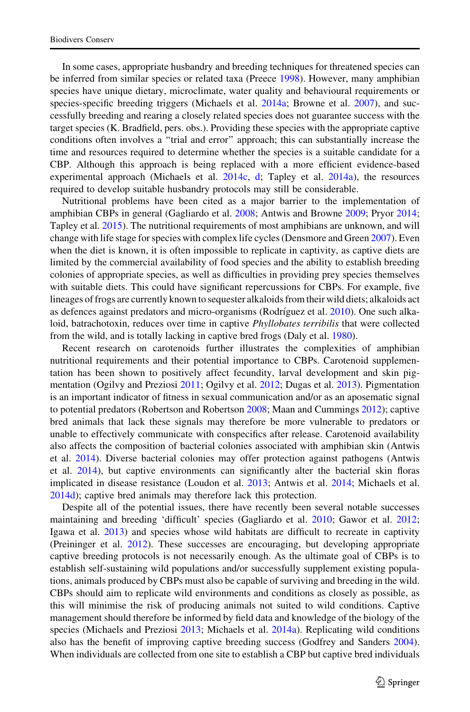In some cases, appropriate husbandry and breeding techniques for threatened species can be inferred from similar species or related taxa (Preece [1998](#page-20-0)). However, many amphibian species have unique dietary, microclimate, water quality and behavioural requirements or species-specific breeding triggers (Michaels et al. [2014a;](#page-19-0) Browne et al. [2007](#page-17-0)), and successfully breeding and rearing a closely related species does not guarantee success with the target species (K. Bradfield, pers. obs.). Providing these species with the appropriate captive conditions often involves a ''trial and error'' approach; this can substantially increase the time and resources required to determine whether the species is a suitable candidate for a CBP. Although this approach is being replaced with a more efficient evidence-based experimental approach (Michaels et al. [2014c,](#page-19-0) [d](#page-20-0); Tapley et al. [2014a](#page-21-0)), the resources required to develop suitable husbandry protocols may still be considerable.

Nutritional problems have been cited as a major barrier to the implementation of amphibian CBPs in general (Gagliardo et al. [2008;](#page-18-0) Antwis and Browne [2009;](#page-17-0) Pryor [2014;](#page-20-0) Tapley et al. [2015\)](#page-21-0). The nutritional requirements of most amphibians are unknown, and will change with life stage for species with complex life cycles (Densmore and Green [2007\)](#page-18-0). Even when the diet is known, it is often impossible to replicate in captivity, as captive diets are limited by the commercial availability of food species and the ability to establish breeding colonies of appropriate species, as well as difficulties in providing prey species themselves with suitable diets. This could have significant repercussions for CBPs. For example, five lineages of frogs are currently known to sequester alkaloids from their wild diets; alkaloids act as defences against predators and micro-organisms (Rodríguez et al. [2010\)](#page-20-0). One such alkaloid, batrachotoxin, reduces over time in captive *Phyllobates terribilis* that were collected from the wild, and is totally lacking in captive bred frogs (Daly et al. [1980](#page-18-0)).

Recent research on carotenoids further illustrates the complexities of amphibian nutritional requirements and their potential importance to CBPs. Carotenoid supplementation has been shown to positively affect fecundity, larval development and skin pigmentation (Ogilvy and Preziosi [2011;](#page-20-0) Ogilvy et al. [2012;](#page-20-0) Dugas et al. [2013\)](#page-18-0). Pigmentation is an important indicator of fitness in sexual communication and/or as an aposematic signal to potential predators (Robertson and Robertson [2008;](#page-20-0) Maan and Cummings [2012](#page-19-0)); captive bred animals that lack these signals may therefore be more vulnerable to predators or unable to effectively communicate with conspecifics after release. Carotenoid availability also affects the composition of bacterial colonies associated with amphibian skin (Antwis et al. [2014\)](#page-17-0). Diverse bacterial colonies may offer protection against pathogens (Antwis et al. [2014](#page-17-0)), but captive environments can significantly alter the bacterial skin floras implicated in disease resistance (Loudon et al. [2013](#page-19-0); Antwis et al. [2014;](#page-17-0) Michaels et al. [2014d](#page-20-0)); captive bred animals may therefore lack this protection.

Despite all of the potential issues, there have recently been several notable successes maintaining and breeding 'difficult' species (Gagliardo et al. [2010;](#page-18-0) Gawor et al. [2012;](#page-18-0) Igawa et al. [2013](#page-19-0)) and species whose wild habitats are difficult to recreate in captivity (Preininger et al. [2012](#page-20-0)). These successes are encouraging, but developing appropriate captive breeding protocols is not necessarily enough. As the ultimate goal of CBPs is to establish self-sustaining wild populations and/or successfully supplement existing populations, animals produced by CBPs must also be capable of surviving and breeding in the wild. CBPs should aim to replicate wild environments and conditions as closely as possible, as this will minimise the risk of producing animals not suited to wild conditions. Captive management should therefore be informed by field data and knowledge of the biology of the species (Michaels and Preziosi [2013;](#page-19-0) Michaels et al. [2014a](#page-19-0)). Replicating wild conditions also has the benefit of improving captive breeding success (Godfrey and Sanders [2004](#page-18-0)). When individuals are collected from one site to establish a CBP but captive bred individuals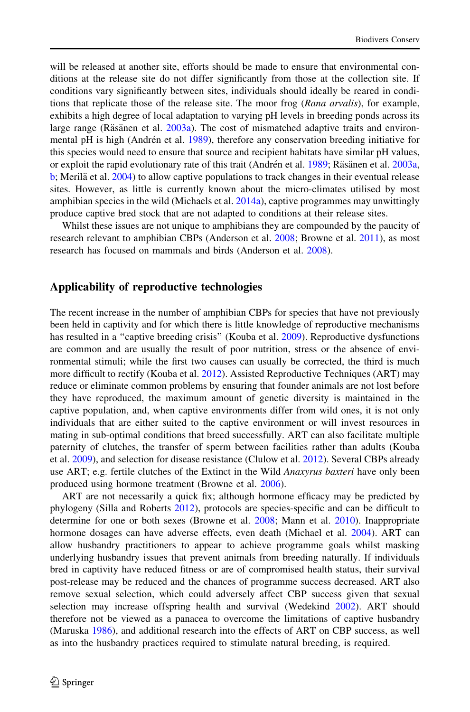will be released at another site, efforts should be made to ensure that environmental conditions at the release site do not differ significantly from those at the collection site. If conditions vary significantly between sites, individuals should ideally be reared in conditions that replicate those of the release site. The moor frog (Rana arvalis), for example, exhibits a high degree of local adaptation to varying pH levels in breeding ponds across its large range (Räsänen et al. [2003a\)](#page-20-0). The cost of mismatched adaptive traits and environ-mental pH is high (Andrén et al. [1989\)](#page-17-0), therefore any conservation breeding initiative for this species would need to ensure that source and recipient habitats have similar pH values, or exploit the rapid evolutionary rate of this trait (Andrén et al. [1989;](#page-17-0) Räsänen et al. [2003a](#page-20-0),  $\mathbf{b}$  $\mathbf{b}$  $\mathbf{b}$ ; Merilä et al. [2004\)](#page-19-0) to allow captive populations to track changes in their eventual release sites. However, as little is currently known about the micro-climates utilised by most amphibian species in the wild (Michaels et al. [2014a\)](#page-19-0), captive programmes may unwittingly produce captive bred stock that are not adapted to conditions at their release sites.

Whilst these issues are not unique to amphibians they are compounded by the paucity of research relevant to amphibian CBPs (Anderson et al. [2008;](#page-17-0) Browne et al. [2011](#page-17-0)), as most research has focused on mammals and birds (Anderson et al. [2008](#page-17-0)).

#### Applicability of reproductive technologies

The recent increase in the number of amphibian CBPs for species that have not previously been held in captivity and for which there is little knowledge of reproductive mechanisms has resulted in a "captive breeding crisis" (Kouba et al. [2009](#page-19-0)). Reproductive dysfunctions are common and are usually the result of poor nutrition, stress or the absence of environmental stimuli; while the first two causes can usually be corrected, the third is much more difficult to rectify (Kouba et al. [2012](#page-19-0)). Assisted Reproductive Techniques (ART) may reduce or eliminate common problems by ensuring that founder animals are not lost before they have reproduced, the maximum amount of genetic diversity is maintained in the captive population, and, when captive environments differ from wild ones, it is not only individuals that are either suited to the captive environment or will invest resources in mating in sub-optimal conditions that breed successfully. ART can also facilitate multiple paternity of clutches, the transfer of sperm between facilities rather than adults (Kouba et al. [2009](#page-19-0)), and selection for disease resistance (Clulow et al. [2012](#page-17-0)). Several CBPs already use ART; e.g. fertile clutches of the Extinct in the Wild *Anaxyrus baxteri* have only been produced using hormone treatment (Browne et al. [2006](#page-17-0)).

ART are not necessarily a quick fix; although hormone efficacy may be predicted by phylogeny (Silla and Roberts [2012](#page-20-0)), protocols are species-specific and can be difficult to determine for one or both sexes (Browne et al. [2008](#page-17-0); Mann et al. [2010](#page-19-0)). Inappropriate hormone dosages can have adverse effects, even death (Michael et al. [2004](#page-19-0)). ART can allow husbandry practitioners to appear to achieve programme goals whilst masking underlying husbandry issues that prevent animals from breeding naturally. If individuals bred in captivity have reduced fitness or are of compromised health status, their survival post-release may be reduced and the chances of programme success decreased. ART also remove sexual selection, which could adversely affect CBP success given that sexual selection may increase offspring health and survival (Wedekind [2002\)](#page-21-0). ART should therefore not be viewed as a panacea to overcome the limitations of captive husbandry (Maruska [1986\)](#page-19-0), and additional research into the effects of ART on CBP success, as well as into the husbandry practices required to stimulate natural breeding, is required.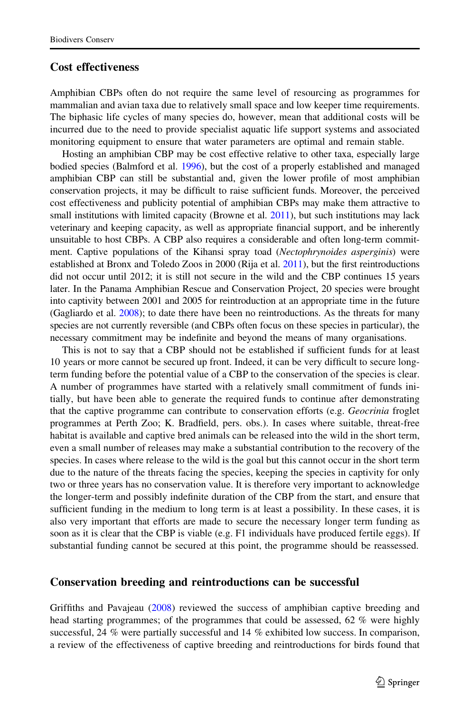#### Cost effectiveness

Amphibian CBPs often do not require the same level of resourcing as programmes for mammalian and avian taxa due to relatively small space and low keeper time requirements. The biphasic life cycles of many species do, however, mean that additional costs will be incurred due to the need to provide specialist aquatic life support systems and associated monitoring equipment to ensure that water parameters are optimal and remain stable.

Hosting an amphibian CBP may be cost effective relative to other taxa, especially large bodied species (Balmford et al. [1996](#page-17-0)), but the cost of a properly established and managed amphibian CBP can still be substantial and, given the lower profile of most amphibian conservation projects, it may be difficult to raise sufficient funds. Moreover, the perceived cost effectiveness and publicity potential of amphibian CBPs may make them attractive to small institutions with limited capacity (Browne et al. [2011](#page-17-0)), but such institutions may lack veterinary and keeping capacity, as well as appropriate financial support, and be inherently unsuitable to host CBPs. A CBP also requires a considerable and often long-term commitment. Captive populations of the Kihansi spray toad (Nectophrynoides asperginis) were established at Bronx and Toledo Zoos in 2000 (Rija et al. [2011](#page-20-0)), but the first reintroductions did not occur until 2012; it is still not secure in the wild and the CBP continues 15 years later. In the Panama Amphibian Rescue and Conservation Project, 20 species were brought into captivity between 2001 and 2005 for reintroduction at an appropriate time in the future (Gagliardo et al. [2008\)](#page-18-0); to date there have been no reintroductions. As the threats for many species are not currently reversible (and CBPs often focus on these species in particular), the necessary commitment may be indefinite and beyond the means of many organisations.

This is not to say that a CBP should not be established if sufficient funds for at least 10 years or more cannot be secured up front. Indeed, it can be very difficult to secure longterm funding before the potential value of a CBP to the conservation of the species is clear. A number of programmes have started with a relatively small commitment of funds initially, but have been able to generate the required funds to continue after demonstrating that the captive programme can contribute to conservation efforts (e.g. *Geocrinia* froglet programmes at Perth Zoo; K. Bradfield, pers. obs.). In cases where suitable, threat-free habitat is available and captive bred animals can be released into the wild in the short term, even a small number of releases may make a substantial contribution to the recovery of the species. In cases where release to the wild is the goal but this cannot occur in the short term due to the nature of the threats facing the species, keeping the species in captivity for only two or three years has no conservation value. It is therefore very important to acknowledge the longer-term and possibly indefinite duration of the CBP from the start, and ensure that sufficient funding in the medium to long term is at least a possibility. In these cases, it is also very important that efforts are made to secure the necessary longer term funding as soon as it is clear that the CBP is viable (e.g. F1 individuals have produced fertile eggs). If substantial funding cannot be secured at this point, the programme should be reassessed.

# Conservation breeding and reintroductions can be successful

Griffiths and Pavajeau ([2008\)](#page-18-0) reviewed the success of amphibian captive breeding and head starting programmes; of the programmes that could be assessed, 62 % were highly successful, 24 % were partially successful and 14 % exhibited low success. In comparison, a review of the effectiveness of captive breeding and reintroductions for birds found that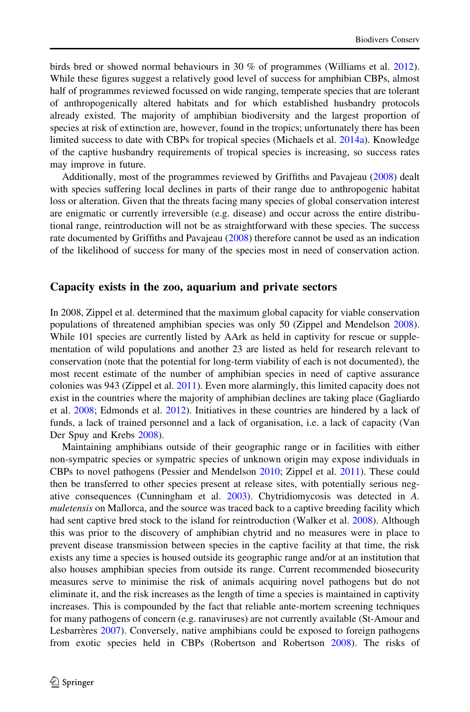birds bred or showed normal behaviours in 30 % of programmes (Williams et al. [2012](#page-21-0)). While these figures suggest a relatively good level of success for amphibian CBPs, almost half of programmes reviewed focussed on wide ranging, temperate species that are tolerant of anthropogenically altered habitats and for which established husbandry protocols already existed. The majority of amphibian biodiversity and the largest proportion of species at risk of extinction are, however, found in the tropics; unfortunately there has been limited success to date with CBPs for tropical species (Michaels et al. [2014a\)](#page-19-0). Knowledge of the captive husbandry requirements of tropical species is increasing, so success rates may improve in future.

Additionally, most of the programmes reviewed by Griffiths and Pavajeau [\(2008](#page-18-0)) dealt with species suffering local declines in parts of their range due to anthropogenic habitat loss or alteration. Given that the threats facing many species of global conservation interest are enigmatic or currently irreversible (e.g. disease) and occur across the entire distributional range, reintroduction will not be as straightforward with these species. The success rate documented by Griffiths and Pavajeau ([2008\)](#page-18-0) therefore cannot be used as an indication of the likelihood of success for many of the species most in need of conservation action.

# Capacity exists in the zoo, aquarium and private sectors

In 2008, Zippel et al. determined that the maximum global capacity for viable conservation populations of threatened amphibian species was only 50 (Zippel and Mendelson [2008](#page-21-0)). While 101 species are currently listed by AArk as held in captivity for rescue or supplementation of wild populations and another 23 are listed as held for research relevant to conservation (note that the potential for long-term viability of each is not documented), the most recent estimate of the number of amphibian species in need of captive assurance colonies was 943 (Zippel et al. [2011](#page-21-0)). Even more alarmingly, this limited capacity does not exist in the countries where the majority of amphibian declines are taking place (Gagliardo et al. [2008](#page-18-0); Edmonds et al. [2012\)](#page-18-0). Initiatives in these countries are hindered by a lack of funds, a lack of trained personnel and a lack of organisation, i.e. a lack of capacity (Van Der Spuy and Krebs [2008](#page-21-0)).

Maintaining amphibians outside of their geographic range or in facilities with either non-sympatric species or sympatric species of unknown origin may expose individuals in CBPs to novel pathogens (Pessier and Mendelson [2010;](#page-20-0) Zippel et al. [2011](#page-21-0)). These could then be transferred to other species present at release sites, with potentially serious negative consequences (Cunningham et al. [2003](#page-18-0)). Chytridiomycosis was detected in A. muletensis on Mallorca, and the source was traced back to a captive breeding facility which had sent captive bred stock to the island for reintroduction (Walker et al. [2008\)](#page-21-0). Although this was prior to the discovery of amphibian chytrid and no measures were in place to prevent disease transmission between species in the captive facility at that time, the risk exists any time a species is housed outside its geographic range and/or at an institution that also houses amphibian species from outside its range. Current recommended biosecurity measures serve to minimise the risk of animals acquiring novel pathogens but do not eliminate it, and the risk increases as the length of time a species is maintained in captivity increases. This is compounded by the fact that reliable ante-mortem screening techniques for many pathogens of concern (e.g. ranaviruses) are not currently available (St-Amour and Lesbarrères [2007\)](#page-20-0). Conversely, native amphibians could be exposed to foreign pathogens from exotic species held in CBPs (Robertson and Robertson [2008\)](#page-20-0). The risks of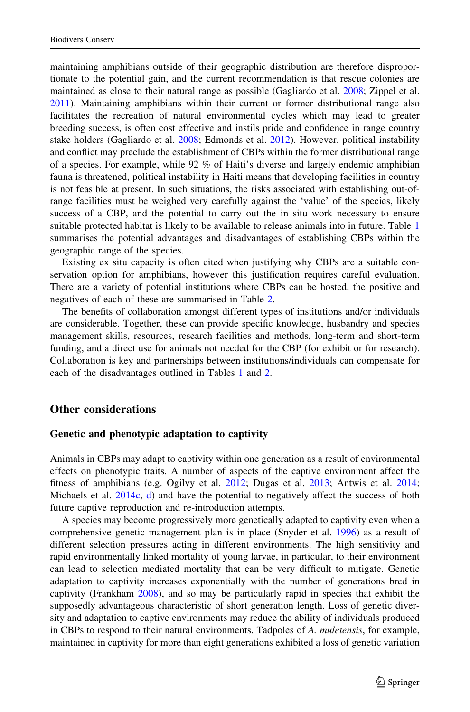maintaining amphibians outside of their geographic distribution are therefore disproportionate to the potential gain, and the current recommendation is that rescue colonies are maintained as close to their natural range as possible (Gagliardo et al. [2008;](#page-18-0) Zippel et al. [2011\)](#page-21-0). Maintaining amphibians within their current or former distributional range also facilitates the recreation of natural environmental cycles which may lead to greater breeding success, is often cost effective and instils pride and confidence in range country stake holders (Gagliardo et al. [2008;](#page-18-0) Edmonds et al. [2012\)](#page-18-0). However, political instability and conflict may preclude the establishment of CBPs within the former distributional range of a species. For example, while 92 % of Haiti's diverse and largely endemic amphibian fauna is threatened, political instability in Haiti means that developing facilities in country is not feasible at present. In such situations, the risks associated with establishing out-ofrange facilities must be weighed very carefully against the 'value' of the species, likely success of a CBP, and the potential to carry out the in situ work necessary to ensure suitable protected habitat is likely to be available to release animals into in future. Table [1](#page-11-0) summarises the potential advantages and disadvantages of establishing CBPs within the geographic range of the species.

Existing ex situ capacity is often cited when justifying why CBPs are a suitable conservation option for amphibians, however this justification requires careful evaluation. There are a variety of potential institutions where CBPs can be hosted, the positive and negatives of each of these are summarised in Table [2.](#page-13-0)

The benefits of collaboration amongst different types of institutions and/or individuals are considerable. Together, these can provide specific knowledge, husbandry and species management skills, resources, research facilities and methods, long-term and short-term funding, and a direct use for animals not needed for the CBP (for exhibit or for research). Collaboration is key and partnerships between institutions/individuals can compensate for each of the disadvantages outlined in Tables [1](#page-11-0) and [2](#page-13-0).

# Other considerations

#### Genetic and phenotypic adaptation to captivity

Animals in CBPs may adapt to captivity within one generation as a result of environmental effects on phenotypic traits. A number of aspects of the captive environment affect the fitness of amphibians (e.g. Ogilvy et al. [2012;](#page-20-0) Dugas et al. [2013](#page-18-0); Antwis et al. [2014;](#page-17-0) Michaels et al.  $2014c$ , [d\)](#page-20-0) and have the potential to negatively affect the success of both future captive reproduction and re-introduction attempts.

A species may become progressively more genetically adapted to captivity even when a comprehensive genetic management plan is in place (Snyder et al. [1996](#page-20-0)) as a result of different selection pressures acting in different environments. The high sensitivity and rapid environmentally linked mortality of young larvae, in particular, to their environment can lead to selection mediated mortality that can be very difficult to mitigate. Genetic adaptation to captivity increases exponentially with the number of generations bred in captivity (Frankham [2008](#page-18-0)), and so may be particularly rapid in species that exhibit the supposedly advantageous characteristic of short generation length. Loss of genetic diversity and adaptation to captive environments may reduce the ability of individuals produced in CBPs to respond to their natural environments. Tadpoles of A. muletensis, for example, maintained in captivity for more than eight generations exhibited a loss of genetic variation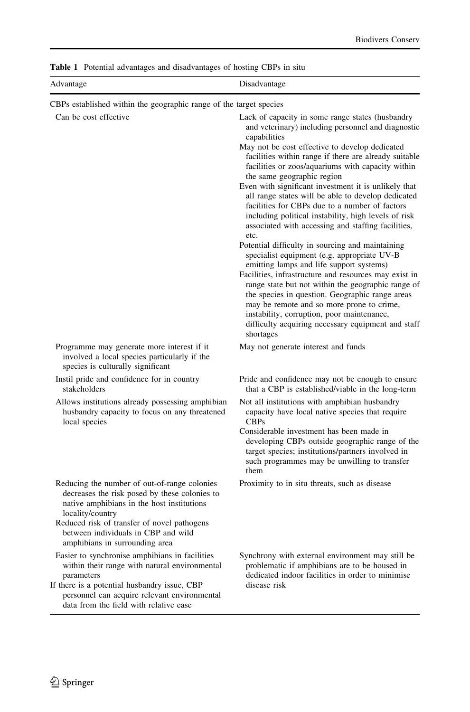| Advantage                                                                                                                                                                                                                                               | Disadvantage                                                                                                                                                                                                                                                                                                                 |
|---------------------------------------------------------------------------------------------------------------------------------------------------------------------------------------------------------------------------------------------------------|------------------------------------------------------------------------------------------------------------------------------------------------------------------------------------------------------------------------------------------------------------------------------------------------------------------------------|
| CBPs established within the geographic range of the target species                                                                                                                                                                                      |                                                                                                                                                                                                                                                                                                                              |
| Can be cost effective                                                                                                                                                                                                                                   | Lack of capacity in some range states (husbandry<br>and veterinary) including personnel and diagnostic<br>capabilities                                                                                                                                                                                                       |
|                                                                                                                                                                                                                                                         | May not be cost effective to develop dedicated<br>facilities within range if there are already suitable<br>facilities or zoos/aquariums with capacity within<br>the same geographic region                                                                                                                                   |
|                                                                                                                                                                                                                                                         | Even with significant investment it is unlikely that<br>all range states will be able to develop dedicated<br>facilities for CBPs due to a number of factors<br>including political instability, high levels of risk<br>associated with accessing and staffing facilities,<br>etc.                                           |
|                                                                                                                                                                                                                                                         | Potential difficulty in sourcing and maintaining<br>specialist equipment (e.g. appropriate UV-B<br>emitting lamps and life support systems)                                                                                                                                                                                  |
|                                                                                                                                                                                                                                                         | Facilities, infrastructure and resources may exist in<br>range state but not within the geographic range of<br>the species in question. Geographic range areas<br>may be remote and so more prone to crime,<br>instability, corruption, poor maintenance,<br>difficulty acquiring necessary equipment and staff<br>shortages |
| Programme may generate more interest if it<br>involved a local species particularly if the<br>species is culturally significant                                                                                                                         | May not generate interest and funds                                                                                                                                                                                                                                                                                          |
| Instil pride and confidence for in country<br>stakeholders                                                                                                                                                                                              | Pride and confidence may not be enough to ensure<br>that a CBP is established/viable in the long-term                                                                                                                                                                                                                        |
| Allows institutions already possessing amphibian<br>husbandry capacity to focus on any threatened<br>local species                                                                                                                                      | Not all institutions with amphibian husbandry<br>capacity have local native species that require<br>CBPs                                                                                                                                                                                                                     |
|                                                                                                                                                                                                                                                         | Considerable investment has been made in<br>developing CBPs outside geographic range of the<br>target species; institutions/partners involved in<br>such programmes may be unwilling to transfer<br>them                                                                                                                     |
| Reducing the number of out-of-range colonies<br>decreases the risk posed by these colonies to<br>native amphibians in the host institutions<br>locality/country                                                                                         | Proximity to in situ threats, such as disease                                                                                                                                                                                                                                                                                |
| Reduced risk of transfer of novel pathogens<br>between individuals in CBP and wild<br>amphibians in surrounding area                                                                                                                                    |                                                                                                                                                                                                                                                                                                                              |
| Easier to synchronise amphibians in facilities<br>within their range with natural environmental<br>parameters<br>If there is a potential husbandry issue, CBP<br>personnel can acquire relevant environmental<br>data from the field with relative ease | Synchrony with external environment may still be<br>problematic if amphibians are to be housed in<br>dedicated indoor facilities in order to minimise<br>disease risk                                                                                                                                                        |

<span id="page-11-0"></span>Table 1 Potential advantages and disadvantages of hosting CBPs in situ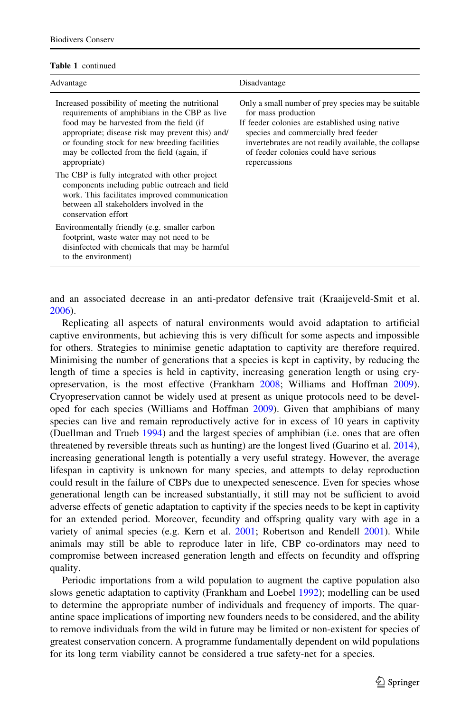| Increased possibility of meeting the nutritional<br>requirements of amphibians in the CBP as live<br>for mass production<br>food may be harvested from the field (if<br>appropriate; disease risk may prevent this) and/<br>species and commercially bred feeder<br>or founding stock for new breeding facilities<br>of feeder colonies could have serious<br>may be collected from the field (again, if<br>appropriate)<br>repercussions<br>The CBP is fully integrated with other project<br>components including public outreach and field<br>work. This facilitates improved communication<br>between all stakeholders involved in the<br>conservation effort<br>Environmentally friendly (e.g. smaller carbon | Disadvantage                                                                                                                                                    |
|--------------------------------------------------------------------------------------------------------------------------------------------------------------------------------------------------------------------------------------------------------------------------------------------------------------------------------------------------------------------------------------------------------------------------------------------------------------------------------------------------------------------------------------------------------------------------------------------------------------------------------------------------------------------------------------------------------------------|-----------------------------------------------------------------------------------------------------------------------------------------------------------------|
|                                                                                                                                                                                                                                                                                                                                                                                                                                                                                                                                                                                                                                                                                                                    | Only a small number of prey species may be suitable<br>If feeder colonies are established using native<br>invertebrates are not readily available, the collapse |
|                                                                                                                                                                                                                                                                                                                                                                                                                                                                                                                                                                                                                                                                                                                    |                                                                                                                                                                 |
| footprint, waste water may not need to be<br>disinfected with chemicals that may be harmful<br>to the environment)                                                                                                                                                                                                                                                                                                                                                                                                                                                                                                                                                                                                 |                                                                                                                                                                 |

and an associated decrease in an anti-predator defensive trait (Kraaijeveld-Smit et al. [2006\)](#page-19-0).

Replicating all aspects of natural environments would avoid adaptation to artificial captive environments, but achieving this is very difficult for some aspects and impossible for others. Strategies to minimise genetic adaptation to captivity are therefore required. Minimising the number of generations that a species is kept in captivity, by reducing the length of time a species is held in captivity, increasing generation length or using cryopreservation, is the most effective (Frankham [2008](#page-18-0); Williams and Hoffman [2009](#page-21-0)). Cryopreservation cannot be widely used at present as unique protocols need to be developed for each species (Williams and Hoffman [2009\)](#page-21-0). Given that amphibians of many species can live and remain reproductively active for in excess of 10 years in captivity (Duellman and Trueb [1994\)](#page-18-0) and the largest species of amphibian (i.e. ones that are often threatened by reversible threats such as hunting) are the longest lived (Guarino et al. [2014](#page-18-0)), increasing generational length is potentially a very useful strategy. However, the average lifespan in captivity is unknown for many species, and attempts to delay reproduction could result in the failure of CBPs due to unexpected senescence. Even for species whose generational length can be increased substantially, it still may not be sufficient to avoid adverse effects of genetic adaptation to captivity if the species needs to be kept in captivity for an extended period. Moreover, fecundity and offspring quality vary with age in a variety of animal species (e.g. Kern et al. [2001;](#page-19-0) Robertson and Rendell [2001\)](#page-20-0). While animals may still be able to reproduce later in life, CBP co-ordinators may need to compromise between increased generation length and effects on fecundity and offspring quality.

Periodic importations from a wild population to augment the captive population also slows genetic adaptation to captivity (Frankham and Loebel [1992](#page-18-0)); modelling can be used to determine the appropriate number of individuals and frequency of imports. The quarantine space implications of importing new founders needs to be considered, and the ability to remove individuals from the wild in future may be limited or non-existent for species of greatest conservation concern. A programme fundamentally dependent on wild populations for its long term viability cannot be considered a true safety-net for a species.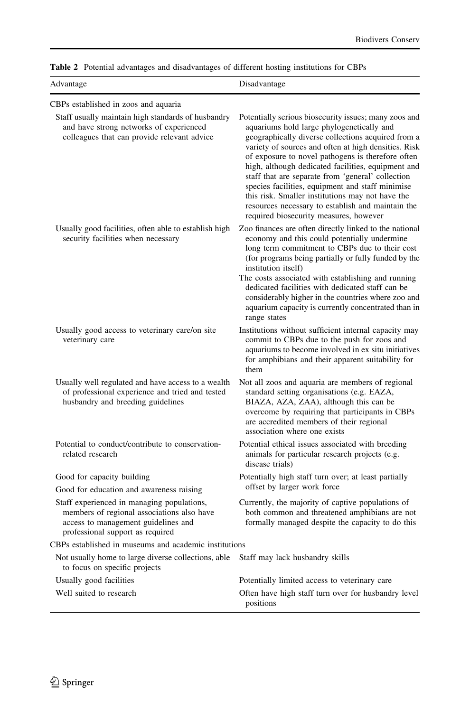| Advantage                                                                                                                                                           | Disadvantage                                                                                                                                                                                                                                                                                                                                                                                                                                                                                                                                                                            |
|---------------------------------------------------------------------------------------------------------------------------------------------------------------------|-----------------------------------------------------------------------------------------------------------------------------------------------------------------------------------------------------------------------------------------------------------------------------------------------------------------------------------------------------------------------------------------------------------------------------------------------------------------------------------------------------------------------------------------------------------------------------------------|
| CBPs established in zoos and aquaria                                                                                                                                |                                                                                                                                                                                                                                                                                                                                                                                                                                                                                                                                                                                         |
| Staff usually maintain high standards of husbandry<br>and have strong networks of experienced<br>colleagues that can provide relevant advice                        | Potentially serious biosecurity issues; many zoos and<br>aquariums hold large phylogenetically and<br>geographically diverse collections acquired from a<br>variety of sources and often at high densities. Risk<br>of exposure to novel pathogens is therefore often<br>high, although dedicated facilities, equipment and<br>staff that are separate from 'general' collection<br>species facilities, equipment and staff minimise<br>this risk. Smaller institutions may not have the<br>resources necessary to establish and maintain the<br>required biosecurity measures, however |
| Usually good facilities, often able to establish high<br>security facilities when necessary                                                                         | Zoo finances are often directly linked to the national<br>economy and this could potentially undermine<br>long term commitment to CBPs due to their cost<br>(for programs being partially or fully funded by the<br>institution itself)<br>The costs associated with establishing and running<br>dedicated facilities with dedicated staff can be<br>considerably higher in the countries where zoo and<br>aquarium capacity is currently concentrated than in<br>range states                                                                                                          |
| Usually good access to veterinary care/on site<br>veterinary care                                                                                                   | Institutions without sufficient internal capacity may<br>commit to CBPs due to the push for zoos and<br>aquariums to become involved in ex situ initiatives<br>for amphibians and their apparent suitability for<br>them                                                                                                                                                                                                                                                                                                                                                                |
| Usually well regulated and have access to a wealth<br>of professional experience and tried and tested<br>husbandry and breeding guidelines                          | Not all zoos and aquaria are members of regional<br>standard setting organisations (e.g. EAZA,<br>BIAZA, AZA, ZAA), although this can be<br>overcome by requiring that participants in CBPs<br>are accredited members of their regional<br>association where one exists                                                                                                                                                                                                                                                                                                                 |
| Potential to conduct/contribute to conservation-<br>related research                                                                                                | Potential ethical issues associated with breeding<br>animals for particular research projects (e.g.<br>disease trials)                                                                                                                                                                                                                                                                                                                                                                                                                                                                  |
| Good for capacity building<br>Good for education and awareness raising                                                                                              | Potentially high staff turn over; at least partially<br>offset by larger work force                                                                                                                                                                                                                                                                                                                                                                                                                                                                                                     |
| Staff experienced in managing populations,<br>members of regional associations also have<br>access to management guidelines and<br>professional support as required | Currently, the majority of captive populations of<br>both common and threatened amphibians are not<br>formally managed despite the capacity to do this                                                                                                                                                                                                                                                                                                                                                                                                                                  |
| CBPs established in museums and academic institutions                                                                                                               |                                                                                                                                                                                                                                                                                                                                                                                                                                                                                                                                                                                         |
| Not usually home to large diverse collections, able<br>to focus on specific projects                                                                                | Staff may lack husbandry skills                                                                                                                                                                                                                                                                                                                                                                                                                                                                                                                                                         |
| Usually good facilities                                                                                                                                             | Potentially limited access to veterinary care                                                                                                                                                                                                                                                                                                                                                                                                                                                                                                                                           |
| Well suited to research                                                                                                                                             | Often have high staff turn over for husbandry level<br>positions                                                                                                                                                                                                                                                                                                                                                                                                                                                                                                                        |

<span id="page-13-0"></span>Table 2 Potential advantages and disadvantages of different hosting institutions for CBPs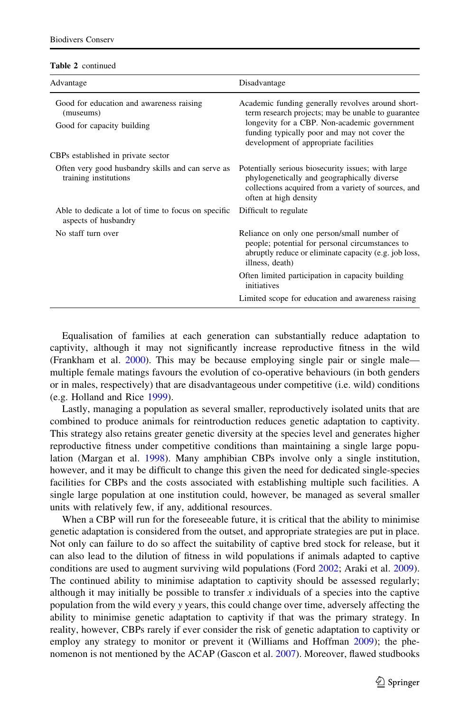| <b>Table 2</b> continued |
|--------------------------|
|                          |

| Advantage                                                                           | Disadvantage                                                                                                                                                                                                                                     |
|-------------------------------------------------------------------------------------|--------------------------------------------------------------------------------------------------------------------------------------------------------------------------------------------------------------------------------------------------|
| Good for education and awareness raising<br>(museums)<br>Good for capacity building | Academic funding generally revolves around short-<br>term research projects; may be unable to guarantee<br>longevity for a CBP. Non-academic government<br>funding typically poor and may not cover the<br>development of appropriate facilities |
| CBPs established in private sector                                                  |                                                                                                                                                                                                                                                  |
| Often very good husbandry skills and can serve as<br>training institutions          | Potentially serious biosecurity issues; with large<br>phylogenetically and geographically diverse<br>collections acquired from a variety of sources, and<br>often at high density                                                                |
| Able to dedicate a lot of time to focus on specific<br>aspects of husbandry         | Difficult to regulate                                                                                                                                                                                                                            |
| No staff turn over                                                                  | Reliance on only one person/small number of<br>people; potential for personal circumstances to<br>abruptly reduce or eliminate capacity (e.g. job loss,<br>illness, death)                                                                       |
|                                                                                     | Often limited participation in capacity building<br>initiatives                                                                                                                                                                                  |
|                                                                                     | Limited scope for education and awareness raising                                                                                                                                                                                                |

Equalisation of families at each generation can substantially reduce adaptation to captivity, although it may not significantly increase reproductive fitness in the wild (Frankham et al. [2000](#page-18-0)). This may be because employing single pair or single male multiple female matings favours the evolution of co-operative behaviours (in both genders or in males, respectively) that are disadvantageous under competitive (i.e. wild) conditions (e.g. Holland and Rice [1999\)](#page-19-0).

Lastly, managing a population as several smaller, reproductively isolated units that are combined to produce animals for reintroduction reduces genetic adaptation to captivity. This strategy also retains greater genetic diversity at the species level and generates higher reproductive fitness under competitive conditions than maintaining a single large population (Margan et al. [1998](#page-19-0)). Many amphibian CBPs involve only a single institution, however, and it may be difficult to change this given the need for dedicated single-species facilities for CBPs and the costs associated with establishing multiple such facilities. A single large population at one institution could, however, be managed as several smaller units with relatively few, if any, additional resources.

When a CBP will run for the foreseeable future, it is critical that the ability to minimise genetic adaptation is considered from the outset, and appropriate strategies are put in place. Not only can failure to do so affect the suitability of captive bred stock for release, but it can also lead to the dilution of fitness in wild populations if animals adapted to captive conditions are used to augment surviving wild populations (Ford [2002;](#page-18-0) Araki et al. [2009](#page-17-0)). The continued ability to minimise adaptation to captivity should be assessed regularly; although it may initially be possible to transfer  $x$  individuals of a species into the captive population from the wild every y years, this could change over time, adversely affecting the ability to minimise genetic adaptation to captivity if that was the primary strategy. In reality, however, CBPs rarely if ever consider the risk of genetic adaptation to captivity or employ any strategy to monitor or prevent it (Williams and Hoffman [2009\)](#page-21-0); the phenomenon is not mentioned by the ACAP (Gascon et al. [2007\)](#page-18-0). Moreover, flawed studbooks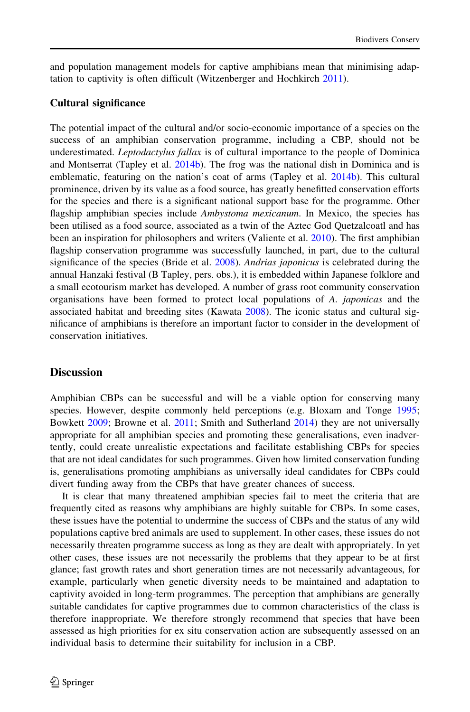and population management models for captive amphibians mean that minimising adaptation to captivity is often difficult (Witzenberger and Hochkirch [2011\)](#page-21-0).

#### Cultural significance

The potential impact of the cultural and/or socio-economic importance of a species on the success of an amphibian conservation programme, including a CBP, should not be underestimated. Leptodactylus fallax is of cultural importance to the people of Dominica and Montserrat (Tapley et al. [2014b](#page-21-0)). The frog was the national dish in Dominica and is emblematic, featuring on the nation's coat of arms (Tapley et al. [2014b](#page-21-0)). This cultural prominence, driven by its value as a food source, has greatly benefitted conservation efforts for the species and there is a significant national support base for the programme. Other flagship amphibian species include *Ambystoma mexicanum*. In Mexico, the species has been utilised as a food source, associated as a twin of the Aztec God Quetzalcoatl and has been an inspiration for philosophers and writers (Valiente et al. [2010\)](#page-21-0). The first amphibian flagship conservation programme was successfully launched, in part, due to the cultural significance of the species (Bride et al. [2008\)](#page-17-0). Andrias japonicus is celebrated during the annual Hanzaki festival (B Tapley, pers. obs.), it is embedded within Japanese folklore and a small ecotourism market has developed. A number of grass root community conservation organisations have been formed to protect local populations of A. japonicas and the associated habitat and breeding sites (Kawata [2008](#page-19-0)). The iconic status and cultural significance of amphibians is therefore an important factor to consider in the development of conservation initiatives.

#### **Discussion**

Amphibian CBPs can be successful and will be a viable option for conserving many species. However, despite commonly held perceptions (e.g. Bloxam and Tonge [1995;](#page-17-0) Bowkett [2009](#page-17-0); Browne et al. [2011;](#page-17-0) Smith and Sutherland [2014](#page-20-0)) they are not universally appropriate for all amphibian species and promoting these generalisations, even inadvertently, could create unrealistic expectations and facilitate establishing CBPs for species that are not ideal candidates for such programmes. Given how limited conservation funding is, generalisations promoting amphibians as universally ideal candidates for CBPs could divert funding away from the CBPs that have greater chances of success.

It is clear that many threatened amphibian species fail to meet the criteria that are frequently cited as reasons why amphibians are highly suitable for CBPs. In some cases, these issues have the potential to undermine the success of CBPs and the status of any wild populations captive bred animals are used to supplement. In other cases, these issues do not necessarily threaten programme success as long as they are dealt with appropriately. In yet other cases, these issues are not necessarily the problems that they appear to be at first glance; fast growth rates and short generation times are not necessarily advantageous, for example, particularly when genetic diversity needs to be maintained and adaptation to captivity avoided in long-term programmes. The perception that amphibians are generally suitable candidates for captive programmes due to common characteristics of the class is therefore inappropriate. We therefore strongly recommend that species that have been assessed as high priorities for ex situ conservation action are subsequently assessed on an individual basis to determine their suitability for inclusion in a CBP.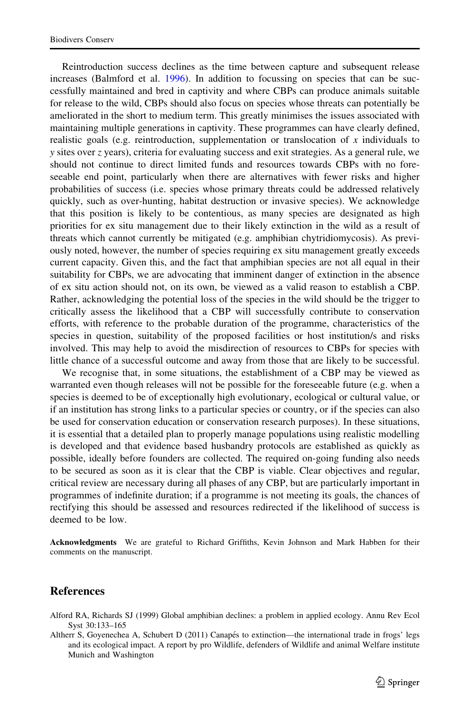<span id="page-16-0"></span>Reintroduction success declines as the time between capture and subsequent release increases (Balmford et al. [1996](#page-17-0)). In addition to focussing on species that can be successfully maintained and bred in captivity and where CBPs can produce animals suitable for release to the wild, CBPs should also focus on species whose threats can potentially be ameliorated in the short to medium term. This greatly minimises the issues associated with maintaining multiple generations in captivity. These programmes can have clearly defined, realistic goals (e.g. reintroduction, supplementation or translocation of x individuals to y sites over z years), criteria for evaluating success and exit strategies. As a general rule, we should not continue to direct limited funds and resources towards CBPs with no foreseeable end point, particularly when there are alternatives with fewer risks and higher probabilities of success (i.e. species whose primary threats could be addressed relatively quickly, such as over-hunting, habitat destruction or invasive species). We acknowledge that this position is likely to be contentious, as many species are designated as high priorities for ex situ management due to their likely extinction in the wild as a result of threats which cannot currently be mitigated (e.g. amphibian chytridiomycosis). As previously noted, however, the number of species requiring ex situ management greatly exceeds current capacity. Given this, and the fact that amphibian species are not all equal in their suitability for CBPs, we are advocating that imminent danger of extinction in the absence of ex situ action should not, on its own, be viewed as a valid reason to establish a CBP. Rather, acknowledging the potential loss of the species in the wild should be the trigger to critically assess the likelihood that a CBP will successfully contribute to conservation efforts, with reference to the probable duration of the programme, characteristics of the species in question, suitability of the proposed facilities or host institution/s and risks involved. This may help to avoid the misdirection of resources to CBPs for species with little chance of a successful outcome and away from those that are likely to be successful.

We recognise that, in some situations, the establishment of a CBP may be viewed as warranted even though releases will not be possible for the foreseeable future (e.g. when a species is deemed to be of exceptionally high evolutionary, ecological or cultural value, or if an institution has strong links to a particular species or country, or if the species can also be used for conservation education or conservation research purposes). In these situations, it is essential that a detailed plan to properly manage populations using realistic modelling is developed and that evidence based husbandry protocols are established as quickly as possible, ideally before founders are collected. The required on-going funding also needs to be secured as soon as it is clear that the CBP is viable. Clear objectives and regular, critical review are necessary during all phases of any CBP, but are particularly important in programmes of indefinite duration; if a programme is not meeting its goals, the chances of rectifying this should be assessed and resources redirected if the likelihood of success is deemed to be low.

Acknowledgments We are grateful to Richard Griffiths, Kevin Johnson and Mark Habben for their comments on the manuscript.

# References

- Alford RA, Richards SJ (1999) Global amphibian declines: a problem in applied ecology. Annu Rev Ecol Syst 30:133–165
- Altherr S, Goyenechea A, Schubert D (2011) Canapés to extinction—the international trade in frogs' legs and its ecological impact. A report by pro Wildlife, defenders of Wildlife and animal Welfare institute Munich and Washington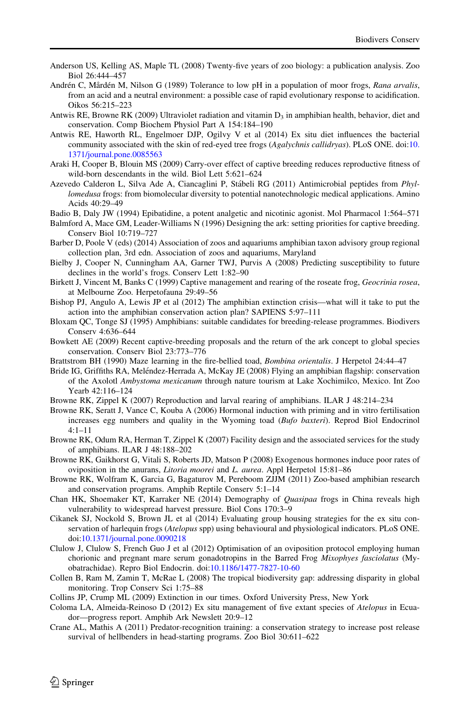- <span id="page-17-0"></span>Anderson US, Kelling AS, Maple TL (2008) Twenty-five years of zoo biology: a publication analysis. Zoo Biol 26:444–457
- Andrén C, Mårdén M, Nilson G (1989) Tolerance to low pH in a population of moor frogs, Rana arvalis, from an acid and a neutral environment: a possible case of rapid evolutionary response to acidification. Oikos 56:215–223
- Antwis RE, Browne RK (2009) Ultraviolet radiation and vitamin  $D_3$  in amphibian health, behavior, diet and conservation. Comp Biochem Physiol Part A 154:184–190
- Antwis RE, Haworth RL, Engelmoer DJP, Ogilvy V et al (2014) Ex situ diet influences the bacterial community associated with the skin of red-eyed tree frogs (Agalychnis callidryas). PLoS ONE. doi:[10.](http://dx.doi.org/10.1371/journal.pone.0085563) [1371/journal.pone.0085563](http://dx.doi.org/10.1371/journal.pone.0085563)
- Araki H, Cooper B, Blouin MS (2009) Carry-over effect of captive breeding reduces reproductive fitness of wild-born descendants in the wild. Biol Lett 5:621–624
- Azevedo Calderon L, Silva Ade A, Ciancaglini P, Stábeli RG (2011) Antimicrobial peptides from Phyllomedusa frogs: from biomolecular diversity to potential nanotechnologic medical applications. Amino Acids 40:29–49
- Badio B, Daly JW (1994) Epibatidine, a potent analgetic and nicotinic agonist. Mol Pharmacol 1:564–571
- Balmford A, Mace GM, Leader-Williams N (1996) Designing the ark: setting priorities for captive breeding. Conserv Biol 10:719–727
- Barber D, Poole V (eds) (2014) Association of zoos and aquariums amphibian taxon advisory group regional collection plan, 3rd edn. Association of zoos and aquariums, Maryland
- Bielby J, Cooper N, Cunningham AA, Garner TWJ, Purvis A (2008) Predicting susceptibility to future declines in the world's frogs. Conserv Lett 1:82–90
- Birkett J, Vincent M, Banks C (1999) Captive management and rearing of the roseate frog, Geocrinia rosea, at Melbourne Zoo. Herpetofauna 29:49–56
- Bishop PJ, Angulo A, Lewis JP et al (2012) The amphibian extinction crisis—what will it take to put the action into the amphibian conservation action plan? SAPIENS 5:97–111
- Bloxam QC, Tonge SJ (1995) Amphibians: suitable candidates for breeding-release programmes. Biodivers Conserv 4:636–644
- Bowkett AE (2009) Recent captive-breeding proposals and the return of the ark concept to global species conservation. Conserv Biol 23:773–776
- Brattstrom BH (1990) Maze learning in the fire-bellied toad, *Bombina orientalis*. J Herpetol 24:44-47
- Bride IG, Griffiths RA, Meléndez-Herrada A, McKay JE (2008) Flying an amphibian flagship: conservation of the Axolotl Ambystoma mexicanum through nature tourism at Lake Xochimilco, Mexico. Int Zoo Yearb 42:116–124
- Browne RK, Zippel K (2007) Reproduction and larval rearing of amphibians. ILAR J 48:214–234
- Browne RK, Seratt J, Vance C, Kouba A (2006) Hormonal induction with priming and in vitro fertilisation increases egg numbers and quality in the Wyoming toad (Bufo baxteri). Reprod Biol Endocrinol 4:1–11
- Browne RK, Odum RA, Herman T, Zippel K (2007) Facility design and the associated services for the study of amphibians. ILAR J 48:188–202
- Browne RK, Gaikhorst G, Vitali S, Roberts JD, Matson P (2008) Exogenous hormones induce poor rates of oviposition in the anurans, Litoria moorei and L. aurea. Appl Herpetol 15:81–86
- Browne RK, Wolfram K, Garcia G, Bagaturov M, Pereboom ZJJM (2011) Zoo-based amphibian research and conservation programs. Amphib Reptile Conserv 5:1–14
- Chan HK, Shoemaker KT, Karraker NE (2014) Demography of Quasipaa frogs in China reveals high vulnerability to widespread harvest pressure. Biol Cons 170:3–9
- Cikanek SJ, Nockold S, Brown JL et al (2014) Evaluating group housing strategies for the ex situ conservation of harlequin frogs (Atelopus spp) using behavioural and physiological indicators. PLoS ONE. doi[:10.1371/journal.pone.0090218](http://dx.doi.org/10.1371/journal.pone.0090218)
- Clulow J, Clulow S, French Guo J et al (2012) Optimisation of an oviposition protocol employing human chorionic and pregnant mare serum gonadotropins in the Barred Frog Mixophyes fasciolatus (Myobatrachidae). Repro Biol Endocrin. doi:[10.1186/1477-7827-10-60](http://dx.doi.org/10.1186/1477-7827-10-60)
- Collen B, Ram M, Zamin T, McRae L (2008) The tropical biodiversity gap: addressing disparity in global monitoring. Trop Conserv Sci 1:75–88
- Collins JP, Crump ML (2009) Extinction in our times. Oxford University Press, New York
- Coloma LA, Almeida-Reinoso D (2012) Ex situ management of five extant species of Atelopus in Ecuador—progress report. Amphib Ark Newslett 20:9–12
- Crane AL, Mathis A (2011) Predator-recognition training: a conservation strategy to increase post release survival of hellbenders in head-starting programs. Zoo Biol 30:611–622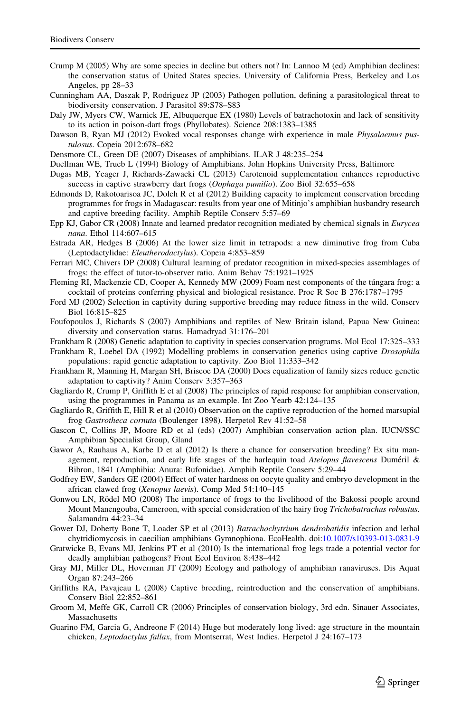- <span id="page-18-0"></span>Crump M (2005) Why are some species in decline but others not? In: Lannoo M (ed) Amphibian declines: the conservation status of United States species. University of California Press, Berkeley and Los Angeles, pp 28–33
- Cunningham AA, Daszak P, Rodriguez JP (2003) Pathogen pollution, defining a parasitological threat to biodiversity conservation. J Parasitol 89:S78–S83
- Daly JW, Myers CW, Warnick JE, Albuquerque EX (1980) Levels of batrachotoxin and lack of sensitivity to its action in poison-dart frogs (Phyllobates). Science 208:1383–1385
- Dawson B, Ryan MJ (2012) Evoked vocal responses change with experience in male *Physalaemus pus*tulosus. Copeia 2012:678–682
- Densmore CL, Green DE (2007) Diseases of amphibians. ILAR J 48:235–254
- Duellman WE, Trueb L (1994) Biology of Amphibians. John Hopkins University Press, Baltimore
- Dugas MB, Yeager J, Richards-Zawacki CL (2013) Carotenoid supplementation enhances reproductive success in captive strawberry dart frogs (*Oophaga pumilio*). Zoo Biol 32:655–658
- Edmonds D, Rakotoarisoa JC, Dolch R et al (2012) Building capacity to implement conservation breeding programmes for frogs in Madagascar: results from year one of Mitinjo's amphibian husbandry research and captive breeding facility. Amphib Reptile Conserv 5:57–69
- Epp KJ, Gabor CR (2008) Innate and learned predator recognition mediated by chemical signals in Eurycea nana. Ethol 114:607–615
- Estrada AR, Hedges B (2006) At the lower size limit in tetrapods: a new diminutive frog from Cuba (Leptodactylidae: Eleutherodactylus). Copeia 4:853–859
- Ferrari MC, Chivers DP (2008) Cultural learning of predator recognition in mixed-species assemblages of frogs: the effect of tutor-to-observer ratio. Anim Behav 75:1921–1925
- Fleming RI, Mackenzie CD, Cooper A, Kennedy MW (2009) Foam nest components of the túngara frog: a cocktail of proteins conferring physical and biological resistance. Proc R Soc B 276:1787–1795
- Ford MJ (2002) Selection in captivity during supportive breeding may reduce fitness in the wild. Conserv Biol 16:815–825
- Foufopoulos J, Richards S (2007) Amphibians and reptiles of New Britain island, Papua New Guinea: diversity and conservation status. Hamadryad 31:176–201
- Frankham R (2008) Genetic adaptation to captivity in species conservation programs. Mol Ecol 17:325–333
- Frankham R, Loebel DA (1992) Modelling problems in conservation genetics using captive *Drosophila* populations: rapid genetic adaptation to captivity. Zoo Biol 11:333–342
- Frankham R, Manning H, Margan SH, Briscoe DA (2000) Does equalization of family sizes reduce genetic adaptation to captivity? Anim Conserv 3:357–363
- Gagliardo R, Crump P, Griffith E et al (2008) The principles of rapid response for amphibian conservation, using the programmes in Panama as an example. Int Zoo Yearb 42:124–135
- Gagliardo R, Griffith E, Hill R et al (2010) Observation on the captive reproduction of the horned marsupial frog Gastrotheca cornuta (Boulenger 1898). Herpetol Rev 41:52–58
- Gascon C, Collins JP, Moore RD et al (eds) (2007) Amphibian conservation action plan. IUCN/SSC Amphibian Specialist Group, Gland
- Gawor A, Rauhaus A, Karbe D et al (2012) Is there a chance for conservation breeding? Ex situ management, reproduction, and early life stages of the harlequin toad Atelopus flavescens Duméril  $\&$ Bibron, 1841 (Amphibia: Anura: Bufonidae). Amphib Reptile Conserv 5:29–44
- Godfrey EW, Sanders GE (2004) Effect of water hardness on oocyte quality and embryo development in the african clawed frog (Xenopus laevis). Comp Med 54:140–145
- Gonwou LN, Rödel MO (2008) The importance of frogs to the livelihood of the Bakossi people around Mount Manengouba, Cameroon, with special consideration of the hairy frog Trichobatrachus robustus. Salamandra 44:23–34
- Gower DJ, Doherty Bone T, Loader SP et al (2013) Batrachochytrium dendrobatidis infection and lethal chytridiomycosis in caecilian amphibians Gymnophiona. EcoHealth. doi:[10.1007/s10393-013-0831-9](http://dx.doi.org/10.1007/s10393-013-0831-9)
- Gratwicke B, Evans MJ, Jenkins PT et al (2010) Is the international frog legs trade a potential vector for deadly amphibian pathogens? Front Ecol Environ 8:438–442
- Gray MJ, Miller DL, Hoverman JT (2009) Ecology and pathology of amphibian ranaviruses. Dis Aquat Organ 87:243–266
- Griffiths RA, Pavajeau L (2008) Captive breeding, reintroduction and the conservation of amphibians. Conserv Biol 22:852–861
- Groom M, Meffe GK, Carroll CR (2006) Principles of conservation biology, 3rd edn. Sinauer Associates, **Massachusetts**
- Guarino FM, Garcia G, Andreone F (2014) Huge but moderately long lived: age structure in the mountain chicken, Leptodactylus fallax, from Montserrat, West Indies. Herpetol J 24:167–173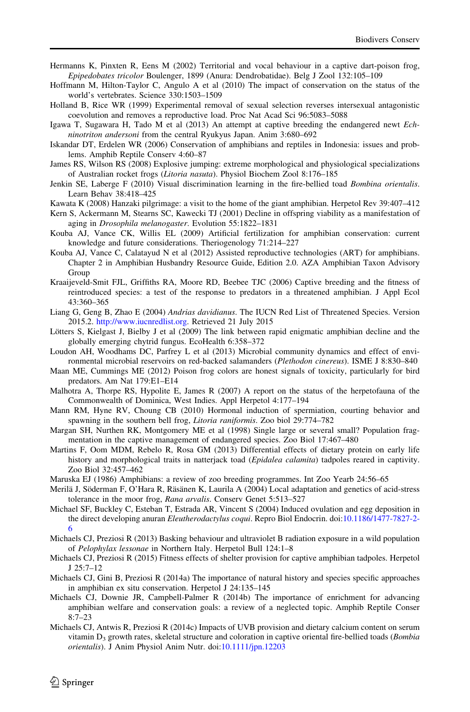- <span id="page-19-0"></span>Hermanns K, Pinxten R, Eens M (2002) Territorial and vocal behaviour in a captive dart-poison frog, Epipedobates tricolor Boulenger, 1899 (Anura: Dendrobatidae). Belg J Zool 132:105–109
- Hoffmann M, Hilton-Taylor C, Angulo A et al (2010) The impact of conservation on the status of the world's vertebrates. Science 330:1503–1509
- Holland B, Rice WR (1999) Experimental removal of sexual selection reverses intersexual antagonistic coevolution and removes a reproductive load. Proc Nat Acad Sci 96:5083–5088
- Igawa T, Sugawara H, Tado M et al (2013) An attempt at captive breeding the endangered newt Echninotriton andersoni from the central Ryukyus Japan. Anim 3:680–692
- Iskandar DT, Erdelen WR (2006) Conservation of amphibians and reptiles in Indonesia: issues and problems. Amphib Reptile Conserv 4:60–87
- James RS, Wilson RS (2008) Explosive jumping: extreme morphological and physiological specializations of Australian rocket frogs (Litoria nasuta). Physiol Biochem Zool 8:176–185
- Jenkin SE, Laberge F (2010) Visual discrimination learning in the fire-bellied toad Bombina orientalis. Learn Behav 38:418–425
- Kawata K (2008) Hanzaki pilgrimage: a visit to the home of the giant amphibian. Herpetol Rev 39:407–412
- Kern S, Ackermann M, Stearns SC, Kawecki TJ (2001) Decline in offspring viability as a manifestation of aging in Drosophila melanogaster. Evolution 55:1822–1831
- Kouba AJ, Vance CK, Willis EL (2009) Artificial fertilization for amphibian conservation: current knowledge and future considerations. Theriogenology 71:214–227
- Kouba AJ, Vance C, Calatayud N et al (2012) Assisted reproductive technologies (ART) for amphibians. Chapter 2 in Amphibian Husbandry Resource Guide, Edition 2.0. AZA Amphibian Taxon Advisory Group
- Kraaijeveld-Smit FJL, Griffiths RA, Moore RD, Beebee TJC (2006) Captive breeding and the fitness of reintroduced species: a test of the response to predators in a threatened amphibian. J Appl Ecol 43:360–365
- Liang G, Geng B, Zhao E (2004) Andrias davidianus. The IUCN Red List of Threatened Species. Version 2015.2. [http://www.iucnredlist.org.](http://www.iucnredlist.org) Retrieved 21 July 2015
- Lötters S, Kielgast J, Bielby J et al (2009) The link between rapid enigmatic amphibian decline and the globally emerging chytrid fungus. EcoHealth 6:358–372
- Loudon AH, Woodhams DC, Parfrey L et al (2013) Microbial community dynamics and effect of environmental microbial reservoirs on red-backed salamanders (Plethodon cinereus). ISME J 8:830–840
- Maan ME, Cummings ME (2012) Poison frog colors are honest signals of toxicity, particularly for bird predators. Am Nat 179:E1–E14
- Malhotra A, Thorpe RS, Hypolite E, James R (2007) A report on the status of the herpetofauna of the Commonwealth of Dominica, West Indies. Appl Herpetol 4:177–194
- Mann RM, Hyne RV, Choung CB (2010) Hormonal induction of spermiation, courting behavior and spawning in the southern bell frog, Litoria raniformis. Zoo biol 29:774–782
- Margan SH, Nurthen RK, Montgomery ME et al (1998) Single large or several small? Population fragmentation in the captive management of endangered species. Zoo Biol 17:467–480
- Martins F, Oom MDM, Rebelo R, Rosa GM (2013) Differential effects of dietary protein on early life history and morphological traits in natterjack toad (Epidalea calamita) tadpoles reared in captivity. Zoo Biol 32:457–462
- Maruska EJ (1986) Amphibians: a review of zoo breeding programmes. Int Zoo Yearb 24:56–65
- Merilä J, Söderman F, O'Hara R, Räsänen K, Laurila A (2004) Local adaptation and genetics of acid-stress tolerance in the moor frog, Rana arvalis. Conserv Genet 5:513–527
- Michael SF, Buckley C, Esteban T, Estrada AR, Vincent S (2004) Induced ovulation and egg deposition in the direct developing anuran Eleutherodactylus coqui. Repro Biol Endocrin. doi:[10.1186/1477-7827-2-](http://dx.doi.org/10.1186/1477-7827-2-6) [6](http://dx.doi.org/10.1186/1477-7827-2-6)
- Michaels CJ, Preziosi R (2013) Basking behaviour and ultraviolet B radiation exposure in a wild population of Pelophylax lessonae in Northern Italy. Herpetol Bull 124:1–8
- Michaels CJ, Preziosi R (2015) Fitness effects of shelter provision for captive amphibian tadpoles. Herpetol J 25:7–12
- Michaels CJ, Gini B, Preziosi R (2014a) The importance of natural history and species specific approaches in amphibian ex situ conservation. Herpetol J 24:135–145
- Michaels CJ, Downie JR, Campbell-Palmer R (2014b) The importance of enrichment for advancing amphibian welfare and conservation goals: a review of a neglected topic. Amphib Reptile Conser 8:7–23
- Michaels CJ, Antwis R, Preziosi R (2014c) Impacts of UVB provision and dietary calcium content on serum vitamin  $D_3$  growth rates, skeletal structure and coloration in captive oriental fire-bellied toads (*Bombia* orientalis). J Anim Physiol Anim Nutr. doi[:10.1111/jpn.12203](http://dx.doi.org/10.1111/jpn.12203)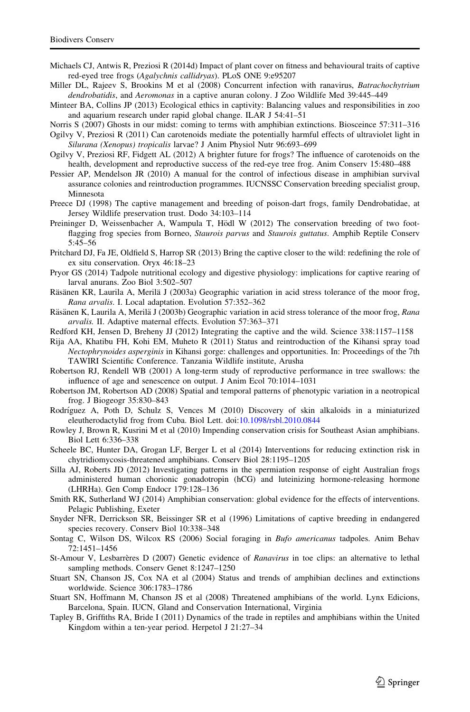- <span id="page-20-0"></span>Michaels CJ, Antwis R, Preziosi R (2014d) Impact of plant cover on fitness and behavioural traits of captive red-eyed tree frogs (Agalychnis callidryas). PLoS ONE 9:e95207
- Miller DL, Rajeev S, Brookins M et al (2008) Concurrent infection with ranavirus, Batrachochytrium dendrobatidis, and Aeromonas in a captive anuran colony. J Zoo Wildlife Med 39:445–449
- Minteer BA, Collins JP (2013) Ecological ethics in captivity: Balancing values and responsibilities in zoo and aquarium research under rapid global change. ILAR J 54:41–51
- Norris S (2007) Ghosts in our midst: coming to terms with amphibian extinctions. Biosceince 57:311–316
- Ogilvy V, Preziosi R (2011) Can carotenoids mediate the potentially harmful effects of ultraviolet light in Silurana (Xenopus) tropicalis larvae? J Anim Physiol Nutr 96:693–699
- Ogilvy V, Preziosi RF, Fidgett AL (2012) A brighter future for frogs? The influence of carotenoids on the health, development and reproductive success of the red-eye tree frog. Anim Conserv 15:480–488
- Pessier AP, Mendelson JR (2010) A manual for the control of infectious disease in amphibian survival assurance colonies and reintroduction programmes. IUCNSSC Conservation breeding specialist group, Minnesota
- Preece DJ (1998) The captive management and breeding of poison-dart frogs, family Dendrobatidae, at Jersey Wildlife preservation trust. Dodo 34:103–114
- Preininger D, Weissenbacher A, Wampula T, Hödl W (2012) The conservation breeding of two footflagging frog species from Borneo, Staurois parvus and Staurois guttatus. Amphib Reptile Conserv 5:45–56
- Pritchard DJ, Fa JE, Oldfield S, Harrop SR (2013) Bring the captive closer to the wild: redefining the role of ex situ conservation. Oryx 46:18–23
- Pryor GS (2014) Tadpole nutritional ecology and digestive physiology: implications for captive rearing of larval anurans. Zoo Biol 3:502–507
- Räsänen KR, Laurila A, Merilä J (2003a) Geographic variation in acid stress tolerance of the moor frog, Rana arvalis. I. Local adaptation. Evolution 57:352–362
- Räsänen K, Laurila A, Merilä J (2003b) Geographic variation in acid stress tolerance of the moor frog, Rana arvalis. II. Adaptive maternal effects. Evolution 57:363–371
- Redford KH, Jensen D, Breheny JJ (2012) Integrating the captive and the wild. Science 338:1157–1158
- Rija AA, Khatibu FH, Kohi EM, Muheto R (2011) Status and reintroduction of the Kihansi spray toad Nectophrynoides asperginis in Kihansi gorge: challenges and opportunities. In: Proceedings of the 7th TAWIRI Scientific Conference. Tanzania Wildlife institute, Arusha
- Robertson RJ, Rendell WB (2001) A long-term study of reproductive performance in tree swallows: the influence of age and senescence on output. J Anim Ecol 70:1014–1031
- Robertson JM, Robertson AD (2008) Spatial and temporal patterns of phenotypic variation in a neotropical frog. J Biogeogr 35:830–843
- Rodrı´guez A, Poth D, Schulz S, Vences M (2010) Discovery of skin alkaloids in a miniaturized eleutherodactylid frog from Cuba. Biol Lett. doi:[10.1098/rsbl.2010.0844](http://dx.doi.org/10.1098/rsbl.2010.0844)
- Rowley J, Brown R, Kusrini M et al (2010) Impending conservation crisis for Southeast Asian amphibians. Biol Lett 6:336–338
- Scheele BC, Hunter DA, Grogan LF, Berger L et al (2014) Interventions for reducing extinction risk in chytridiomycosis-threatened amphibians. Conserv Biol 28:1195–1205
- Silla AJ, Roberts JD (2012) Investigating patterns in the spermiation response of eight Australian frogs administered human chorionic gonadotropin (hCG) and luteinizing hormone-releasing hormone (LHRHa). Gen Comp Endocr 179:128–136
- Smith RK, Sutherland WJ (2014) Amphibian conservation: global evidence for the effects of interventions. Pelagic Publishing, Exeter
- Snyder NFR, Derrickson SR, Beissinger SR et al (1996) Limitations of captive breeding in endangered species recovery. Conserv Biol 10:338–348
- Sontag C, Wilson DS, Wilcox RS (2006) Social foraging in *Bufo americanus* tadpoles. Anim Behav 72:1451–1456
- St-Amour V, Lesbarrères D (2007) Genetic evidence of Ranavirus in toe clips: an alternative to lethal sampling methods. Conserv Genet 8:1247–1250
- Stuart SN, Chanson JS, Cox NA et al (2004) Status and trends of amphibian declines and extinctions worldwide. Science 306:1783–1786
- Stuart SN, Hoffmann M, Chanson JS et al (2008) Threatened amphibians of the world. Lynx Edicions, Barcelona, Spain. IUCN, Gland and Conservation International, Virginia
- Tapley B, Griffiths RA, Bride I (2011) Dynamics of the trade in reptiles and amphibians within the United Kingdom within a ten-year period. Herpetol J 21:27–34